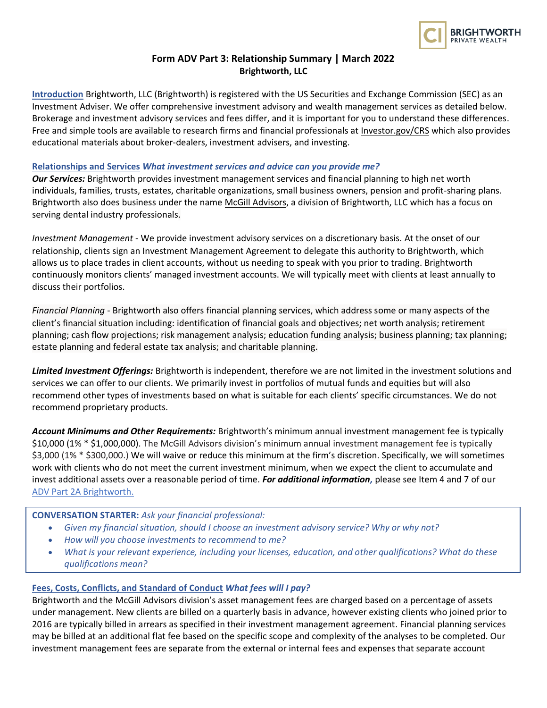

# **Form ADV Part 3: Relationship Summary | March 2022 Brightworth, LLC**

**Introduction** Brightworth, LLC (Brightworth) is registered with the US Securities and Exchange Commission (SEC) as an Investment Adviser. We offer comprehensive investment advisory and wealth management services as detailed below. Brokerage and investment advisory services and fees differ, and it is important for you to understand these differences. Free and simple tools are available to research firms and financial professionals at [Investor.gov/CRS](https://www.investor.gov/CRS) which also provides educational materials about broker-dealers, investment advisers, and investing.

### **Relationships and Services** *What investment services and advice can you provide me?*

*Our Services:* Brightworth provides investment management services and financial planning to high net worth individuals, families, trusts, estates, charitable organizations, small business owners, pension and profit-sharing plans. Brightworth also does business under the name [McGill Advisors,](https://mcgilladvisors.brightworth.com/) a division of Brightworth, LLC which has a focus on serving dental industry professionals.

*Investment Management* - We provide investment advisory services on a discretionary basis. At the onset of our relationship, clients sign an Investment Management Agreement to delegate this authority to Brightworth, which allows us to place trades in client accounts, without us needing to speak with you prior to trading. Brightworth continuously monitors clients' managed investment accounts. We will typically meet with clients at least annually to discuss their portfolios.

*Financial Planning* - Brightworth also offers financial planning services, which address some or many aspects of the client's financial situation including: identification of financial goals and objectives; net worth analysis; retirement planning; cash flow projections; risk management analysis; education funding analysis; business planning; tax planning; estate planning and federal estate tax analysis; and charitable planning.

*Limited Investment Offerings:* Brightworth is independent, therefore we are not limited in the investment solutions and services we can offer to our clients. We primarily invest in portfolios of mutual funds and equities but will also recommend other types of investments based on what is suitable for each clients' specific circumstances. We do not recommend proprietary products.

*Account Minimums and Other Requirements:* Brightworth's minimum annual investment management fee is typically \$10,000 (1% \* \$1,000,000). The McGill Advisors division's minimum annual investment management fee is typically \$3,000 (1% \* \$300,000.) We will waive or reduce this minimum at the firm's discretion. Specifically, we will sometimes work with clients who do not meet the current investment minimum, when we expect the client to accumulate and invest additional assets over a reasonable period of time. *For additional information,* please see Item 4 and 7 of our ADV Part 2A [Brightworth.](https://www.brightworth.com/hubfs/ADV%20and%20Legal%20Documents/ADV%202%20-%20Brightworth%20FINAL%20(4.21.2022).pdf)

## **CONVERSATION STARTER:** *Ask your financial professional:*

- *Given my financial situation, should I choose an investment advisory service? Why or why not?*
- *How will you choose investments to recommend to me?*
- *What is your relevant experience, including your licenses, education, and other qualifications? What do these qualifications mean?*

#### **Fees, Costs, Conflicts, and Standard of Conduct** *What fees will I pay?*

Brightworth and the McGill Advisors division's asset management fees are charged based on a percentage of assets under management. New clients are billed on a quarterly basis in advance, however existing clients who joined prior to 2016 are typically billed in arrears as specified in their investment management agreement. Financial planning services may be billed at an additional flat fee based on the specific scope and complexity of the analyses to be completed. Our investment management fees are separate from the external or internal fees and expenses that separate account